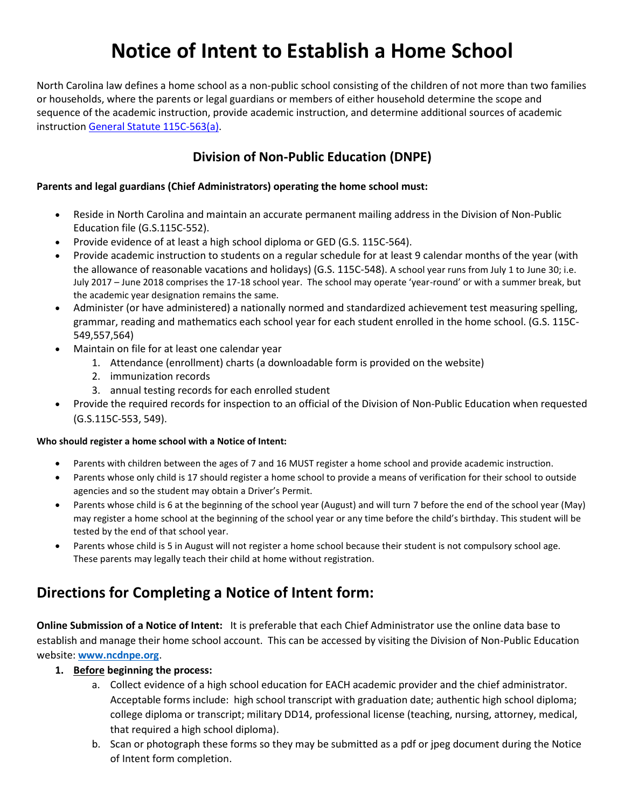# **Notice of Intent to Establish a Home School**

North Carolina law defines a home school as a non-public school consisting of the children of not more than two families or households, where the parents or legal guardians or members of either household determine the scope and sequence of the academic instruction, provide academic instruction, and determine additional sources of academic instruction [General Statute 115C-563\(a\).](http://www.ncga.state.nc.us/EnactedLegislation/Statutes/HTML/BySection/Chapter_115C/GS_115C-563.html)

### **Division of Non-Public Education (DNPE)**

#### **Parents and legal guardians (Chief Administrators) operating the home school must:**

- Reside in North Carolina and maintain an accurate permanent mailing address in the Division of Non-Public Education file (G.S.115C-552).
- Provide evidence of at least a high school diploma or GED (G.S. 115C-564).
- Provide academic instruction to students on a regular schedule for at least 9 calendar months of the year (with the allowance of reasonable vacations and holidays) (G.S. 115C-548). A school year runs from July 1 to June 30; i.e. July 2017 – June 2018 comprises the 17-18 school year. The school may operate 'year-round' or with a summer break, but the academic year designation remains the same.
- Administer (or have administered) a nationally normed and standardized achievement test measuring spelling, grammar, reading and mathematics each school year for each student enrolled in the home school. (G.S. 115C-549,557,564)
- Maintain on file for at least one calendar year
	- 1. Attendance (enrollment) charts (a downloadable form is provided on the website)
	- 2. immunization records
	- 3. annual testing records for each enrolled student
- Provide the required records for inspection to an official of the Division of Non-Public Education when requested (G.S.115C-553, 549).

#### **Who should register a home school with a Notice of Intent:**

- Parents with children between the ages of 7 and 16 MUST register a home school and provide academic instruction.
- Parents whose only child is 17 should register a home school to provide a means of verification for their school to outside agencies and so the student may obtain a Driver's Permit.
- Parents whose child is 6 at the beginning of the school year (August) and will turn 7 before the end of the school year (May) may register a home school at the beginning of the school year or any time before the child's birthday. This student will be tested by the end of that school year.
- Parents whose child is 5 in August will not register a home school because their student is not compulsory school age. These parents may legally teach their child at home without registration.

## **Directions for Completing a Notice of Intent form:**

**Online Submission of a Notice of Intent:** It is preferable that each Chief Administrator use the online data base to establish and manage their home school account. This can be accessed by visiting the Division of Non-Public Education website: **[www.ncdnpe.org](http://www.ncdnpe.org/)**.

#### **1. Before beginning the process:**

- a. Collect evidence of a high school education for EACH academic provider and the chief administrator. Acceptable forms include: high school transcript with graduation date; authentic high school diploma; college diploma or transcript; military DD14, professional license (teaching, nursing, attorney, medical, that required a high school diploma).
- b. Scan or photograph these forms so they may be submitted as a pdf or jpeg document during the Notice of Intent form completion.